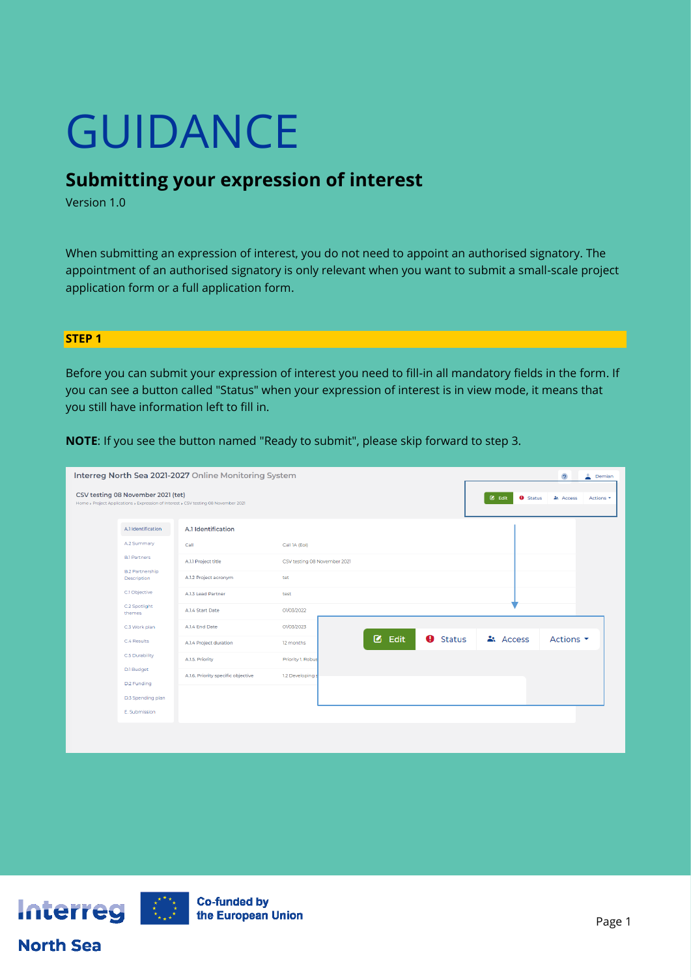# GUIDANCE

# **Submitting your expression of interest**

Version 1.0

When submitting an expression of interest, you do not need to appoint an authorised signatory. The appointment of an authorised signatory is only relevant when you want to submit a small-scale project application form or a full application form.

## **STEP 1**

Before you can submit your expression of interest you need to fill-in all mandatory fields in the form. If you can see a button called "Status" when your expression of interest is in view mode, it means that you still have information left to fill in.

| Interreg North Sea 2021-2027 Online Monitoring System<br>$\overline{2}$<br>$\triangle$ Demian |                                                                             |                                                                                     |                              |                        |               |                                     |                               |  |
|-----------------------------------------------------------------------------------------------|-----------------------------------------------------------------------------|-------------------------------------------------------------------------------------|------------------------------|------------------------|---------------|-------------------------------------|-------------------------------|--|
|                                                                                               | CSV testing 08 November 2021 (tet)                                          | Home » Project Applications » Expression of Interest » CSV testing 08 November 2021 |                              |                        |               | $\boxtimes$ Edit<br><b>O</b> Status | Access<br>Actions -           |  |
|                                                                                               | A.1 Identification                                                          | A.1 Identification                                                                  |                              |                        |               |                                     |                               |  |
|                                                                                               | A.2 Summary<br><b>B.1 Partners</b><br><b>B.2 Partnership</b><br>Description | Call                                                                                | Call 1A (Eol)                |                        |               |                                     |                               |  |
|                                                                                               |                                                                             | A.1.1 Project title                                                                 | CSV testing 08 November 2021 |                        |               |                                     |                               |  |
|                                                                                               |                                                                             | A.1.2 Project acronym                                                               | tet                          |                        |               |                                     |                               |  |
|                                                                                               | C.1 Objective                                                               | A.1.3 Lead Partner                                                                  | test                         |                        |               |                                     |                               |  |
|                                                                                               | C.2 Spotlight<br>themes                                                     | A.1.4 Start Date                                                                    | 01/03/2022                   |                        |               |                                     |                               |  |
|                                                                                               | C.3 Work plan                                                               | A.1.4 End Date                                                                      | 01/03/2023                   |                        |               |                                     |                               |  |
|                                                                                               | C.4 Results<br>C.5 Durability                                               | A.1.4 Project duration                                                              | 12 months                    | ø<br>$\bullet$<br>Edit | <b>Status</b> | ዹ Access                            | Actions $\blacktriangleright$ |  |
|                                                                                               |                                                                             | A.1.5. Priority                                                                     | Priority 1. Robus            |                        |               |                                     |                               |  |
|                                                                                               | D.1 Budget<br>D.2 Funding                                                   | A.1.6. Priority specific objective                                                  | 1.2 Developings              |                        |               |                                     |                               |  |
|                                                                                               | D.3 Spending plan                                                           |                                                                                     |                              |                        |               |                                     |                               |  |
|                                                                                               | E. Submission                                                               |                                                                                     |                              |                        |               |                                     |                               |  |
|                                                                                               |                                                                             |                                                                                     |                              |                        |               |                                     |                               |  |

**NOTE**: If you see the button named "Ready to submit", please skip forward to step 3.



**North Sea**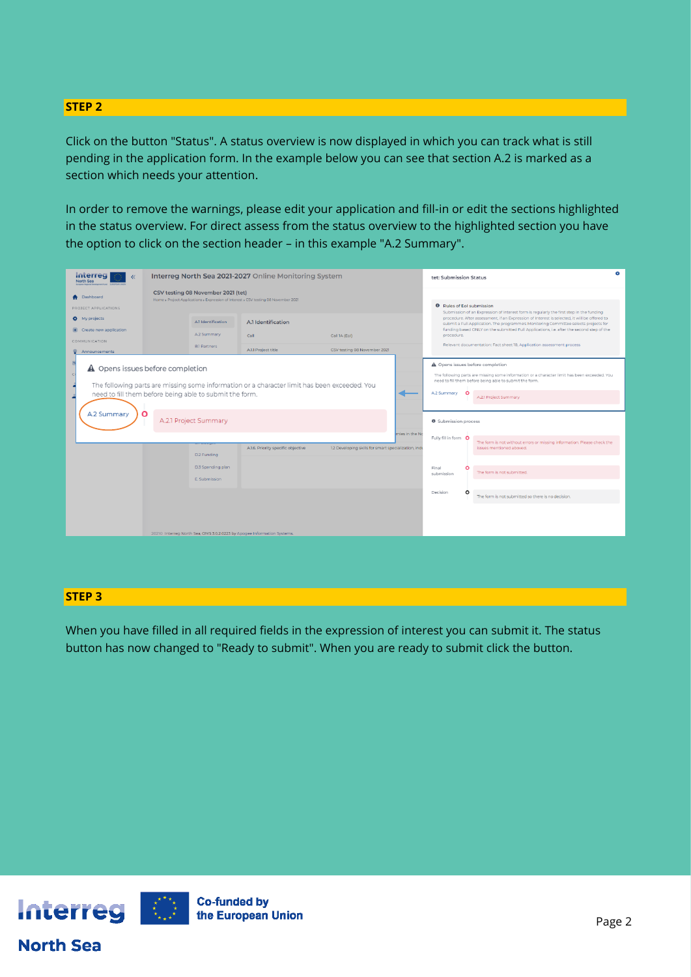## **STEP 2**

Click on the button "Status". A status overview is now displayed in which you can track what is still pending in the application form. In the example below you can see that section A.2 is marked as a section which needs your attention.

In order to remove the warnings, please edit your application and fill-in or edit the sections highlighted in the status overview. For direct assess from the status overview to the highlighted section you have the option to click on the section header – in this example "A.2 Summary".

| Interreg<br>North Sea                                                                                                                            | Interreg North Sea 2021-2027 Online Monitoring System                                                                     |                                    |                                                                         |                                                      | tet: Submission Status |                                                                                                                                                                                                                                                                                                                     |         |                                                                                                     |  |
|--------------------------------------------------------------------------------------------------------------------------------------------------|---------------------------------------------------------------------------------------------------------------------------|------------------------------------|-------------------------------------------------------------------------|------------------------------------------------------|------------------------|---------------------------------------------------------------------------------------------------------------------------------------------------------------------------------------------------------------------------------------------------------------------------------------------------------------------|---------|-----------------------------------------------------------------------------------------------------|--|
| <b>A</b> Dashboard<br>PROJECT APPLICATIONS                                                                                                       | CSV testing 08 November 2021 (tet)<br>Home > Project Applications > Expression of Interest > CSV testing 08 November 2021 |                                    |                                                                         |                                                      |                        | <b>0</b> Rules of EoI submission<br>Submission of an Expression of Interest form is regularly the first step in the funding<br>procedure. After assessment, if an Expression of Interest is selected, it will be offered to<br>submit a Full Application. The programme's Monitoring Committee selects projects for |         |                                                                                                     |  |
| My projects                                                                                                                                      | A.1 Identification<br>A.1 Identification                                                                                  |                                    |                                                                         |                                                      |                        |                                                                                                                                                                                                                                                                                                                     |         |                                                                                                     |  |
| Create new application<br>œ.                                                                                                                     |                                                                                                                           | A.2 Summary                        | Call                                                                    | Call 1A (Eol)                                        |                        | procedure.                                                                                                                                                                                                                                                                                                          |         | funding based ONLY on the submitted Full Applications, i.e. after the second step of the            |  |
| <b>COMMUNICATION</b><br><b>Announcements</b>                                                                                                     |                                                                                                                           | <b>B.1 Partners</b>                | A.1.1 Project title                                                     | CSV testing 08 November 2021                         |                        |                                                                                                                                                                                                                                                                                                                     |         | Relevant documentation: Fact sheet 18, Application assessment process                               |  |
| A Opens issues before completion<br>$\mathbf{C}$<br>The following parts are missing some information or a character limit has been exceeded. You |                                                                                                                           |                                    |                                                                         |                                                      |                        | A Opens issues before completion<br>The following parts are missing some information or a character limit has been exceeded. You<br>need to fill them before being able to submit the form.                                                                                                                         |         |                                                                                                     |  |
| need to fill them before being able to submit the form.                                                                                          |                                                                                                                           |                                    |                                                                         |                                                      |                        | A.2 Summary                                                                                                                                                                                                                                                                                                         | $\circ$ | A.2.1 Project Summary                                                                               |  |
| A.2 Summary                                                                                                                                      | Ο<br>A.2.1 Project Summary                                                                                                |                                    |                                                                         |                                                      |                        | Submission process                                                                                                                                                                                                                                                                                                  |         |                                                                                                     |  |
|                                                                                                                                                  |                                                                                                                           |                                    | A.1.6. Priority specific objective                                      | 1.2 Developing skills for smart specialization, indu | mies in the No         | Fully fill in form O                                                                                                                                                                                                                                                                                                |         | The form is not without errors or missing information. Please check the<br>issues mentioned aboved. |  |
|                                                                                                                                                  |                                                                                                                           | D.2 Funding                        |                                                                         |                                                      |                        |                                                                                                                                                                                                                                                                                                                     |         |                                                                                                     |  |
|                                                                                                                                                  |                                                                                                                           | D.3 Spending plan<br>E. Submission |                                                                         |                                                      |                        | Final<br>submission                                                                                                                                                                                                                                                                                                 | O       | The form is not submitted.                                                                          |  |
|                                                                                                                                                  |                                                                                                                           |                                    |                                                                         |                                                      |                        | Decision                                                                                                                                                                                                                                                                                                            | $\circ$ | The form is not submitted so there is no decision.                                                  |  |
|                                                                                                                                                  |                                                                                                                           |                                    |                                                                         |                                                      |                        |                                                                                                                                                                                                                                                                                                                     |         |                                                                                                     |  |
|                                                                                                                                                  |                                                                                                                           |                                    |                                                                         |                                                      |                        |                                                                                                                                                                                                                                                                                                                     |         |                                                                                                     |  |
|                                                                                                                                                  |                                                                                                                           |                                    | 2021© Interreg North Sea, OMS 3.0.2.0223 by Apogee Information Systems. |                                                      |                        |                                                                                                                                                                                                                                                                                                                     |         |                                                                                                     |  |

## **STEP 3**

When you have filled in all required fields in the expression of interest you can submit it. The status button has now changed to "Ready to submit". When you are ready to submit click the button.

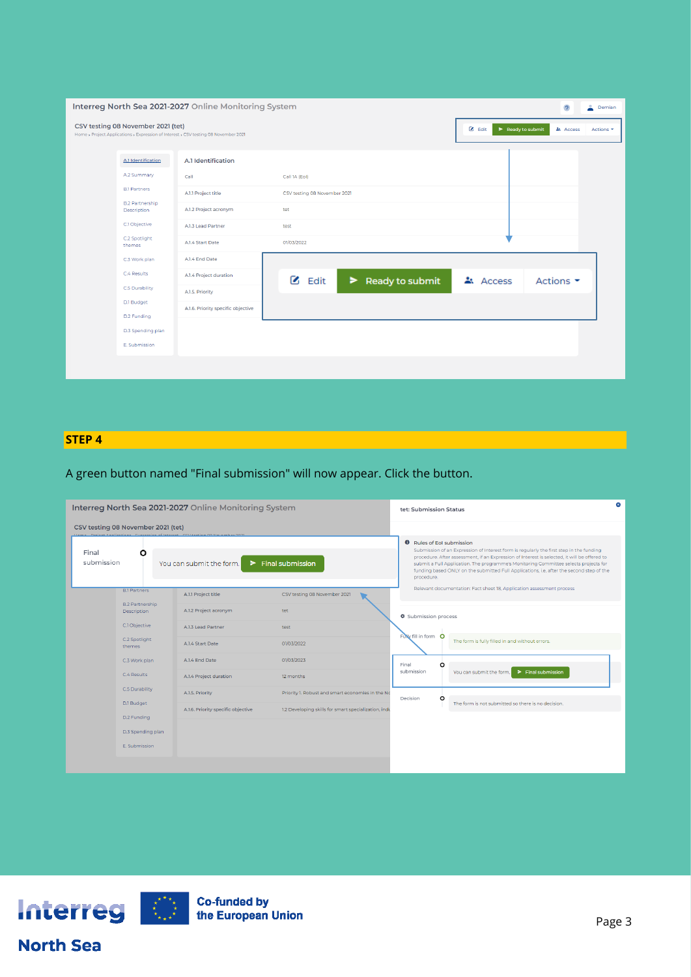| Interreg North Sea 2021-2027 Online Monitoring System<br>$\ddot{\phantom{0}}$<br>å.<br>Demian |                                                                                                                                               |                                                                                                                      |                                                                            |                                         |  |  |  |
|-----------------------------------------------------------------------------------------------|-----------------------------------------------------------------------------------------------------------------------------------------------|----------------------------------------------------------------------------------------------------------------------|----------------------------------------------------------------------------|-----------------------------------------|--|--|--|
|                                                                                               | CSV testing 08 November 2021 (tet)<br>Home > Project Applications > Expression of Interest > CSV testing 08 November 2021                     | $\boxtimes$ Edit<br>$\blacktriangleright$ Ready to submit<br>$\triangle$ : Access<br>Actions *                       |                                                                            |                                         |  |  |  |
|                                                                                               | A.1 Identification<br>A.2 Summary<br><b>B.1 Partners</b><br><b>B.2 Partnership</b><br>Description<br>C.1 Objective<br>C.2 Spotlight<br>themes | A.1 Identification<br>Call<br>A.1.1 Project title<br>A.1.2 Project acronym<br>A.1.3 Lead Partner<br>A.1.4 Start Date | Call 1A (Eol)<br>CSV testing 08 November 2021<br>tet<br>test<br>01/03/2022 |                                         |  |  |  |
|                                                                                               | C.3 Work plan<br>C.4 Results<br><b>C.5 Durability</b><br>D.1 Budget<br>D.2 Funding<br>D.3 Spending plan<br>E. Submission                      | A.1.4 End Date<br>A.1.4 Project duration<br>A.1.5. Priority<br>A.1.6. Priority specific objective                    | $\mathbf{Z}$ Edit<br>$\blacktriangleright$ Ready to submit                 | Access<br>Actions $\blacktriangleright$ |  |  |  |

# **STEP 4**

# A green button named "Final submission" will now appear. Click the button.

| Interreg North Sea 2021-2027 Online Monitoring System                                                                                                                             |                                       |                                    |                                                                                                                                                                                                                                                                                                                                                                                                                               |                      | tet: Submission Status |                                                                       |  |  |
|-----------------------------------------------------------------------------------------------------------------------------------------------------------------------------------|---------------------------------------|------------------------------------|-------------------------------------------------------------------------------------------------------------------------------------------------------------------------------------------------------------------------------------------------------------------------------------------------------------------------------------------------------------------------------------------------------------------------------|----------------------|------------------------|-----------------------------------------------------------------------|--|--|
|                                                                                                                                                                                   | CSV testing 08 November 2021 (tet)    |                                    |                                                                                                                                                                                                                                                                                                                                                                                                                               |                      |                        |                                                                       |  |  |
| Hama, Drainet Analisations, Europesian of Internet, CCV testing 08 November 202<br>Final<br>Ω<br>submission<br>$\blacktriangleright$ Final submission<br>You can submit the form. |                                       |                                    | <b>0</b> Rules of EoI submission<br>Submission of an Expression of Interest form is regularly the first step in the funding<br>procedure. After assessment, if an Expression of Interest is selected, it will be offered to<br>submit a Full Application. The programme's Monitoring Committee selects projects for<br>funding based ONLY on the submitted Full Applications, i.e. after the second step of the<br>procedure. |                      |                        |                                                                       |  |  |
|                                                                                                                                                                                   | <b>B.1 Partners</b>                   | A.1.1 Project title                | CSV testing 08 November 2021                                                                                                                                                                                                                                                                                                                                                                                                  |                      |                        | Relevant documentation: Fact sheet 18, Application assessment process |  |  |
|                                                                                                                                                                                   | <b>B.2 Partnership</b><br>Description | A.1.2 Project acronym              | tet.                                                                                                                                                                                                                                                                                                                                                                                                                          | Submission process   |                        |                                                                       |  |  |
|                                                                                                                                                                                   | C.1 Objective                         | A.1.3 Lead Partner                 | test                                                                                                                                                                                                                                                                                                                                                                                                                          |                      |                        |                                                                       |  |  |
|                                                                                                                                                                                   | C.2 Spotlight<br>themes               | A.1.4 Start Date                   | 01/03/2022                                                                                                                                                                                                                                                                                                                                                                                                                    | Fully fill in form O |                        | The form is fully filled in and without errors.                       |  |  |
|                                                                                                                                                                                   | C.3 Work plan                         | A.1.4 End Date                     | 01/03/2023                                                                                                                                                                                                                                                                                                                                                                                                                    | Final                | $\circ$                |                                                                       |  |  |
|                                                                                                                                                                                   | C.4 Results                           | A.1.4 Project duration             | 12 months                                                                                                                                                                                                                                                                                                                                                                                                                     | submission           |                        | You can submit the form.<br>$\blacktriangleright$ Final submission    |  |  |
|                                                                                                                                                                                   | C.5 Durability<br>D.1 Budget          | A.1.5. Priority                    | Priority 1. Robust and smart economies in the No                                                                                                                                                                                                                                                                                                                                                                              | Decision             | $\circ$                |                                                                       |  |  |
|                                                                                                                                                                                   |                                       | A.1.6. Priority specific objective | 1.2 Developing skills for smart specialization, indu                                                                                                                                                                                                                                                                                                                                                                          |                      |                        | The form is not submitted so there is no decision.                    |  |  |
|                                                                                                                                                                                   | D.2 Funding                           |                                    |                                                                                                                                                                                                                                                                                                                                                                                                                               |                      |                        |                                                                       |  |  |
|                                                                                                                                                                                   | D.3 Spending plan                     |                                    |                                                                                                                                                                                                                                                                                                                                                                                                                               |                      |                        |                                                                       |  |  |
|                                                                                                                                                                                   | E. Submission                         |                                    |                                                                                                                                                                                                                                                                                                                                                                                                                               |                      |                        |                                                                       |  |  |
|                                                                                                                                                                                   |                                       |                                    |                                                                                                                                                                                                                                                                                                                                                                                                                               |                      |                        |                                                                       |  |  |



# **North Sea**